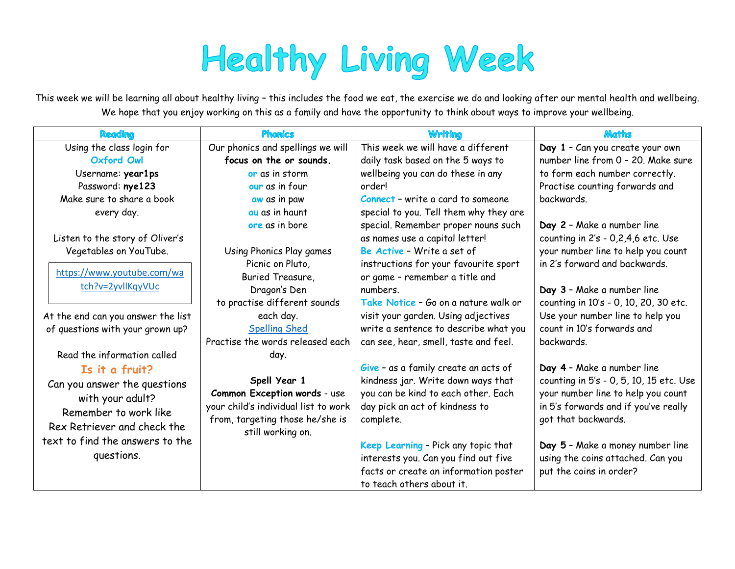# **Healthy Living Week**

This week we will be learning all about healthy living – this includes the food we eat, the exercise we do and looking after our mental health and wellbeing. We hope that you enjoy working on this as a family and have the opportunity to think about ways to improve your wellbeing.

| <b>Reading</b>                     | <b>Phonics</b>                       | <b>Writing</b>                           | <b>Maths</b>                            |  |
|------------------------------------|--------------------------------------|------------------------------------------|-----------------------------------------|--|
| Using the class login for          | Our phonics and spellings we will    | This week we will have a different       | Day 1 - Can you create your own         |  |
| <b>Oxford Owl</b>                  | focus on the or sounds.              | daily task based on the 5 ways to        | number line from 0 - 20. Make sure      |  |
| Username: year1ps                  | or as in storm                       | wellbeing you can do these in any        | to form each number correctly.          |  |
| Password: nye123                   | our as in four                       | order!                                   | Practise counting forwards and          |  |
| Make sure to share a book          | aw as in paw                         | <b>Connect - write a card to someone</b> | backwards.                              |  |
| every day.                         | au as in haunt                       | special to you. Tell them why they are   |                                         |  |
|                                    | ore as in bore                       | special. Remember proper nouns such      | Day 2 - Make a number line              |  |
| Listen to the story of Oliver's    |                                      | as names use a capital letter!           | counting in 2's - 0,2,4,6 etc. Use      |  |
| Vegetables on YouTube.             | Using Phonics Play games             | Be Active - Write a set of               | your number line to help you count      |  |
|                                    | Picnic on Pluto,                     | instructions for your favourite sport    | in 2's forward and backwards.           |  |
| https://www.youtube.com/wa         | Buried Treasure,                     | or game - remember a title and           |                                         |  |
| tch?v=2yvllKqyVUc                  | Dragon's Den                         | numbers.                                 | Day 3 - Make a number line              |  |
|                                    | to practise different sounds         | Take Notice - Go on a nature walk or     | counting in 10's - 0, 10, 20, 30 etc.   |  |
| At the end can you answer the list | each day.                            | visit your garden. Using adjectives      | Use your number line to help you        |  |
| of questions with your grown up?   | <b>Spelling Shed</b>                 | write a sentence to describe what you    | count in 10's forwards and              |  |
|                                    | Practise the words released each     | can see, hear, smell, taste and feel.    | backwards.                              |  |
| Read the information called        | day.                                 |                                          |                                         |  |
| Is it a fruit?                     |                                      | Give - as a family create an acts of     | Day 4 - Make a number line              |  |
| Can you answer the questions       | Spell Year 1                         | kindness jar. Write down ways that       | counting in 5's - 0, 5, 10, 15 etc. Use |  |
| with your adult?                   | Common Exception words - use         | you can be kind to each other. Each      | your number line to help you count      |  |
| Remember to work like              | your child's individual list to work | day pick an act of kindness to           | in 5's forwards and if you've really    |  |
| Rex Retriever and check the        | from, targeting those he/she is      | complete.                                | got that backwards.                     |  |
| text to find the answers to the    | still working on.                    |                                          |                                         |  |
| questions.                         |                                      | Keep Learning - Pick any topic that      | Day 5 - Make a money number line        |  |
|                                    |                                      | interests you. Can you find out five     | using the coins attached. Can you       |  |
|                                    |                                      | facts or create an information poster    | put the coins in order?                 |  |
|                                    |                                      | to teach others about it.                |                                         |  |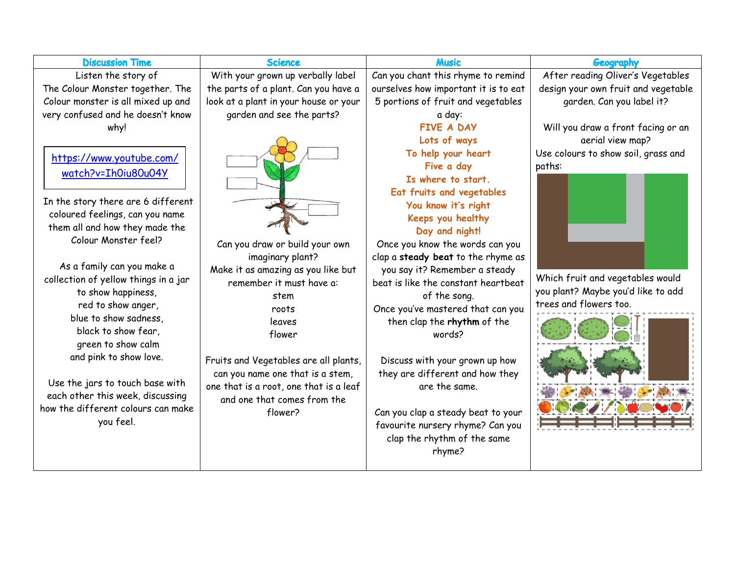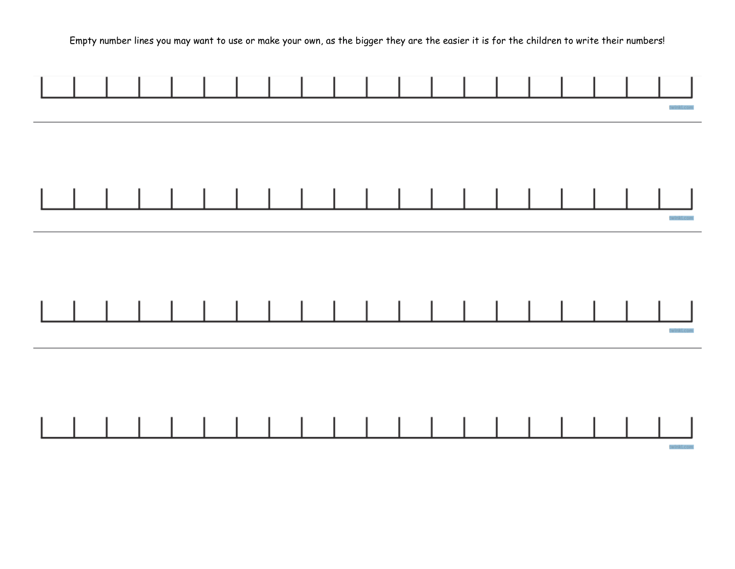Empty number lines you may want to use or make your own, as the bigger they are the easier it is for the children to write their numbers!

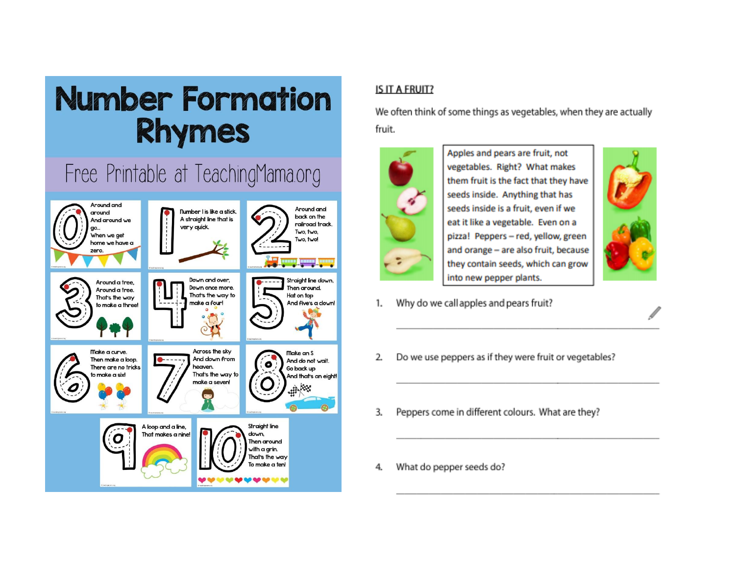## **Number Formation Rhymes**

### Free Printable at TeachingMama.org



#### IS IT A FRUIT?

We often think of some things as vegetables, when they are actually fruit.



Apples and pears are fruit, not vegetables. Right? What makes them fruit is the fact that they have seeds inside. Anything that has seeds inside is a fruit, even if we eat it like a vegetable. Even on a pizza! Peppers - red, yellow, green and orange - are also fruit, because they contain seeds, which can grow into new pepper plants.



- Why do we call apples and pears fruit? 1.
- Do we use peppers as if they were fruit or vegetables? 2.
- Peppers come in different colours. What are they?  $\overline{3}$ .
- What do pepper seeds do? 4.